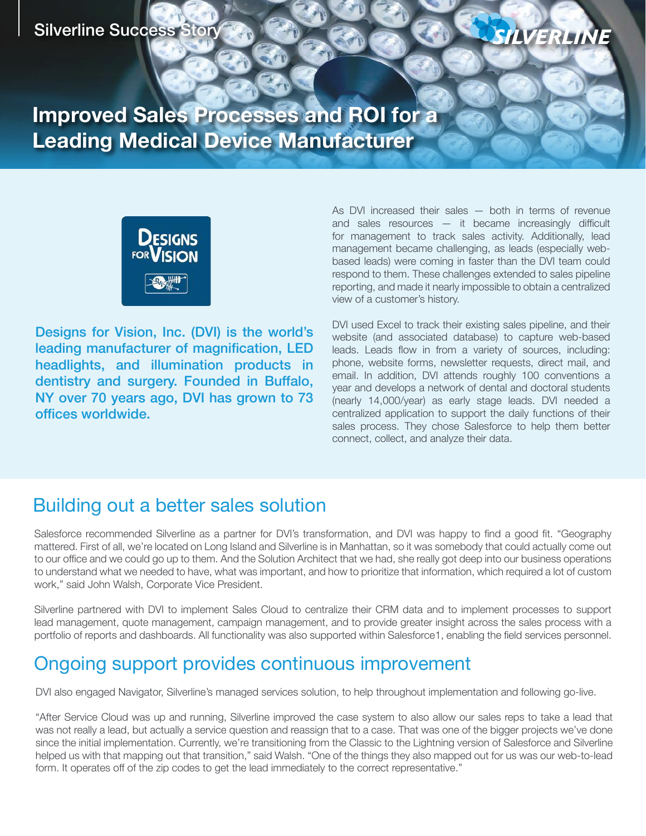#### Silverline Success Story



**Improved Sales Processes and ROI for a Leading Medical Device Manufacturer**



Designs for Vision, Inc. (DVI) is the world's leading manufacturer of magnification, LED headlights, and illumination products in dentistry and surgery. Founded in Buffalo, NY over 70 years ago, DVI has grown to 73 offices worldwide.

As DVI increased their sales — both in terms of revenue and sales resources — it became increasingly difficult for management to track sales activity. Additionally, lead management became challenging, as leads (especially webbased leads) were coming in faster than the DVI team could respond to them. These challenges extended to sales pipeline reporting, and made it nearly impossible to obtain a centralized view of a customer's history.

DVI used Excel to track their existing sales pipeline, and their website (and associated database) to capture web-based leads. Leads flow in from a variety of sources, including: phone, website forms, newsletter requests, direct mail, and email. In addition, DVI attends roughly 100 conventions a year and develops a network of dental and doctoral students (nearly 14,000/year) as early stage leads. DVI needed a centralized application to support the daily functions of their sales process. They chose Salesforce to help them better connect, collect, and analyze their data.

## Building out a better sales solution

Salesforce recommended Silverline as a partner for DVI's transformation, and DVI was happy to find a good fit. "Geography mattered. First of all, we're located on Long Island and Silverline is in Manhattan, so it was somebody that could actually come out to our office and we could go up to them. And the Solution Architect that we had, she really got deep into our business operations to understand what we needed to have, what was important, and how to prioritize that information, which required a lot of custom work," said John Walsh, Corporate Vice President.

Silverline partnered with DVI to implement Sales Cloud to centralize their CRM data and to implement processes to support lead management, quote management, campaign management, and to provide greater insight across the sales process with a portfolio of reports and dashboards. All functionality was also supported within Salesforce1, enabling the field services personnel.

# Ongoing support provides continuous improvement

DVI also engaged Navigator, Silverline's managed services solution, to help throughout implementation and following go-live.

"After Service Cloud was up and running, Silverline improved the case system to also allow our sales reps to take a lead that was not really a lead, but actually a service question and reassign that to a case. That was one of the bigger projects we've done since the initial implementation. Currently, we're transitioning from the Classic to the Lightning version of Salesforce and Silverline helped us with that mapping out that transition," said Walsh. "One of the things they also mapped out for us was our web-to-lead form. It operates off of the zip codes to get the lead immediately to the correct representative."